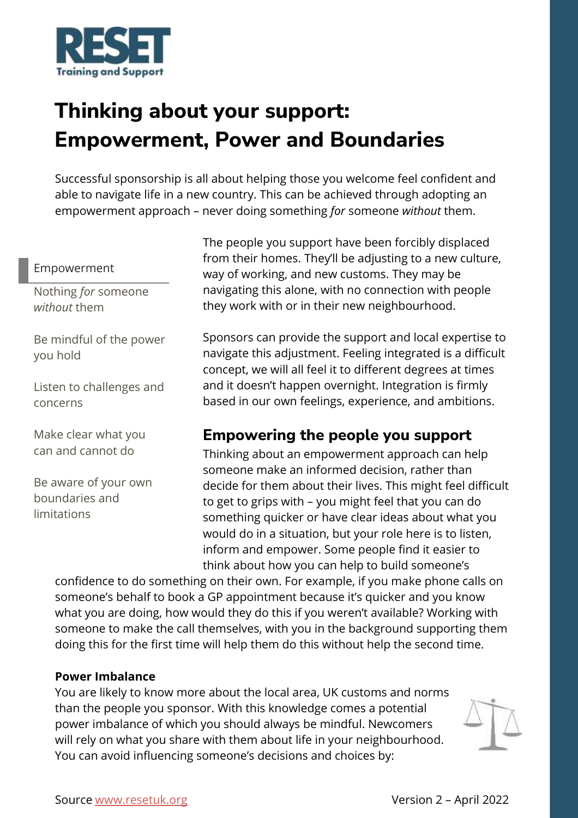

# **Thinking about your support: Empowerment, Power and Boundaries**

Successful sponsorship is all about helping those you welcome feel confident and able to navigate life in a new country. This can be achieved through adopting an empowerment approach – never doing something *for* someone *without* them.

#### Empowerment

Nothing *for* someone *without* them

Be mindful of the power you hold

Listen to challenges and concerns

Make clear what you can and cannot do

Be aware of your own boundaries and limitations

The people you support have been forcibly displaced from their homes. They'll be adjusting to a new culture, way of working, and new customs. They may be navigating this alone, with no connection with people they work with or in their new neighbourhood.

Sponsors can provide the support and local expertise to navigate this adjustment. Feeling integrated is a difficult concept, we will all feel it to different degrees at times and it doesn't happen overnight. Integration is firmly based in our own feelings, experience, and ambitions.

## **Empowering the people you support**

Thinking about an empowerment approach can help someone make an informed decision, rather than decide for them about their lives. This might feel difficult to get to grips with – you might feel that you can do something quicker or have clear ideas about what you would do in a situation, but your role here is to listen, inform and empower. Some people find it easier to think about how you can help to build someone's

confidence to do something on their own. For example, if you make phone calls on someone's behalf to book a GP appointment because it's quicker and you know what you are doing, how would they do this if you weren't available? Working with someone to make the call themselves, with you in the background supporting them doing this for the first time will help them do this without help the second time.

#### **Power Imbalance**

You are likely to know more about the local area, UK customs and norms than the people you sponsor. With this knowledge comes a potential power imbalance of which you should always be mindful. Newcomers will rely on what you share with them about life in your neighbourhood. You can avoid influencing someone's decisions and choices by: